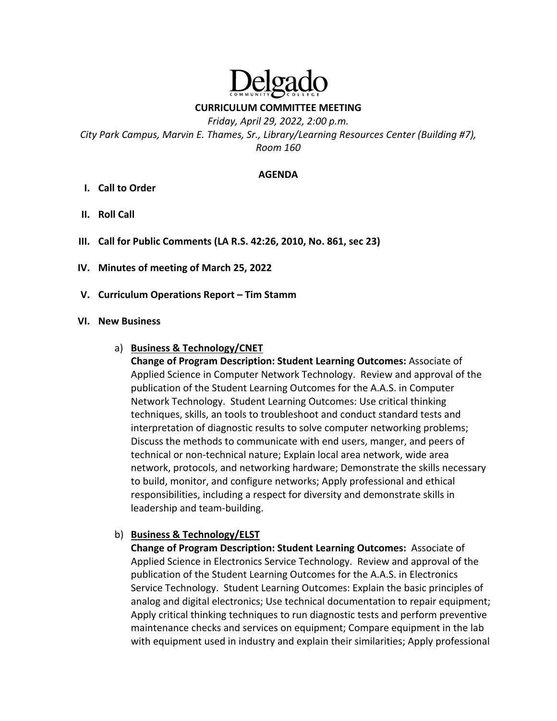# elgad

**CURRICULUM COMMITTEE MEETING**

*Friday, April 29, 2022, 2:00 p.m. City Park Campus, Marvin E. Thames, Sr., Library/Learning Resources Center (Building #7), Room 160* 

#### **AGENDA**

- **I. Call to Order**
- **II. Roll Call**
- **III. Call for Public Comments (LA R.S. 42:26, 2010, No. 861, sec 23)**
- **IV. Minutes of meeting of March 25, 2022**
- **V. Curriculum Operations Report – Tim Stamm**

#### **VI. New Business**

#### a) **Business & Technology/CNET**

**Change of Program Description: Student Learning Outcomes:** Associate of Applied Science in Computer Network Technology. Review and approval of the publication of the Student Learning Outcomes for the A.A.S. in Computer Network Technology. Student Learning Outcomes: Use critical thinking techniques, skills, an tools to troubleshoot and conduct standard tests and interpretation of diagnostic results to solve computer networking problems; Discuss the methods to communicate with end users, manger, and peers of technical or non‐technical nature; Explain local area network, wide area network, protocols, and networking hardware; Demonstrate the skills necessary to build, monitor, and configure networks; Apply professional and ethical responsibilities, including a respect for diversity and demonstrate skills in leadership and team‐building.

#### b) **Business & Technology/ELST**

**Change of Program Description: Student Learning Outcomes:** Associate of Applied Science in Electronics Service Technology. Review and approval of the publication of the Student Learning Outcomes for the A.A.S. in Electronics Service Technology. Student Learning Outcomes: Explain the basic principles of analog and digital electronics; Use technical documentation to repair equipment; Apply critical thinking techniques to run diagnostic tests and perform preventive maintenance checks and services on equipment; Compare equipment in the lab with equipment used in industry and explain their similarities; Apply professional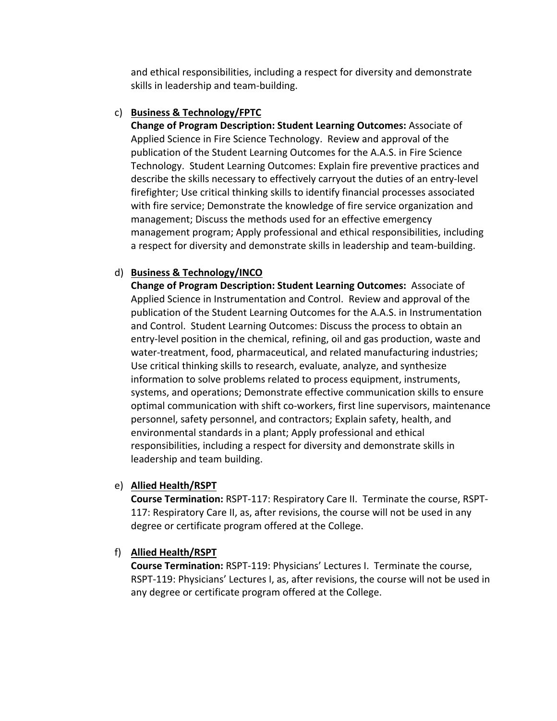and ethical responsibilities, including a respect for diversity and demonstrate skills in leadership and team‐building.

# c) **Business & Technology/FPTC**

**Change of Program Description: Student Learning Outcomes:** Associate of Applied Science in Fire Science Technology. Review and approval of the publication of the Student Learning Outcomes for the A.A.S. in Fire Science Technology. Student Learning Outcomes: Explain fire preventive practices and describe the skills necessary to effectively carryout the duties of an entry‐level firefighter; Use critical thinking skills to identify financial processes associated with fire service; Demonstrate the knowledge of fire service organization and management; Discuss the methods used for an effective emergency management program; Apply professional and ethical responsibilities, including a respect for diversity and demonstrate skills in leadership and team‐building.

# d) **Business & Technology/INCO**

**Change of Program Description: Student Learning Outcomes:** Associate of Applied Science in Instrumentation and Control. Review and approval of the publication of the Student Learning Outcomes for the A.A.S. in Instrumentation and Control. Student Learning Outcomes: Discuss the process to obtain an entry‐level position in the chemical, refining, oil and gas production, waste and water-treatment, food, pharmaceutical, and related manufacturing industries; Use critical thinking skills to research, evaluate, analyze, and synthesize information to solve problems related to process equipment, instruments, systems, and operations; Demonstrate effective communication skills to ensure optimal communication with shift co‐workers, first line supervisors, maintenance personnel, safety personnel, and contractors; Explain safety, health, and environmental standards in a plant; Apply professional and ethical responsibilities, including a respect for diversity and demonstrate skills in leadership and team building.

# e) **Allied Health/RSPT**

**Course Termination:** RSPT‐117: Respiratory Care II. Terminate the course, RSPT‐ 117: Respiratory Care II, as, after revisions, the course will not be used in any degree or certificate program offered at the College.

# f) **Allied Health/RSPT**

**Course Termination:** RSPT‐119: Physicians' Lectures I. Terminate the course, RSPT‐119: Physicians' Lectures I, as, after revisions, the course will not be used in any degree or certificate program offered at the College.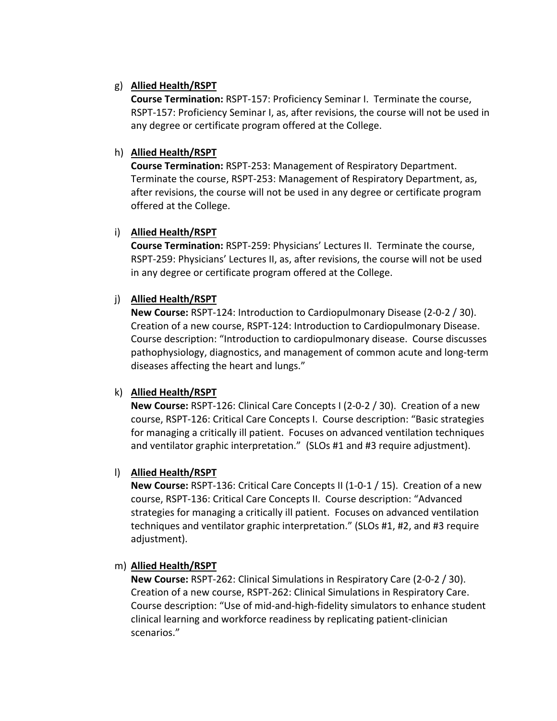# g) **Allied Health/RSPT**

**Course Termination:** RSPT‐157: Proficiency Seminar I. Terminate the course, RSPT‐157: Proficiency Seminar I, as, after revisions, the course will not be used in any degree or certificate program offered at the College.

## h) **Allied Health/RSPT**

**Course Termination:** RSPT‐253: Management of Respiratory Department. Terminate the course, RSPT‐253: Management of Respiratory Department, as, after revisions, the course will not be used in any degree or certificate program offered at the College.

#### i) **Allied Health/RSPT**

**Course Termination:** RSPT‐259: Physicians' Lectures II. Terminate the course, RSPT‐259: Physicians' Lectures II, as, after revisions, the course will not be used in any degree or certificate program offered at the College.

#### j) **Allied Health/RSPT**

**New Course:** RSPT‐124: Introduction to Cardiopulmonary Disease (2‐0‐2 / 30). Creation of a new course, RSPT‐124: Introduction to Cardiopulmonary Disease. Course description: "Introduction to cardiopulmonary disease. Course discusses pathophysiology, diagnostics, and management of common acute and long‐term diseases affecting the heart and lungs."

# k) **Allied Health/RSPT**

**New Course:** RSPT‐126: Clinical Care Concepts I (2‐0‐2 / 30). Creation of a new course, RSPT‐126: Critical Care Concepts I. Course description: "Basic strategies for managing a critically ill patient. Focuses on advanced ventilation techniques and ventilator graphic interpretation." (SLOs #1 and #3 require adjustment).

# l) **Allied Health/RSPT**

**New Course:** RSPT‐136: Critical Care Concepts II (1‐0‐1 / 15). Creation of a new course, RSPT‐136: Critical Care Concepts II. Course description: "Advanced strategies for managing a critically ill patient. Focuses on advanced ventilation techniques and ventilator graphic interpretation." (SLOs #1, #2, and #3 require adjustment).

#### m) **Allied Health/RSPT**

**New Course:** RSPT‐262: Clinical Simulations in Respiratory Care (2‐0‐2 / 30). Creation of a new course, RSPT‐262: Clinical Simulations in Respiratory Care. Course description: "Use of mid‐and‐high‐fidelity simulators to enhance student clinical learning and workforce readiness by replicating patient‐clinician scenarios."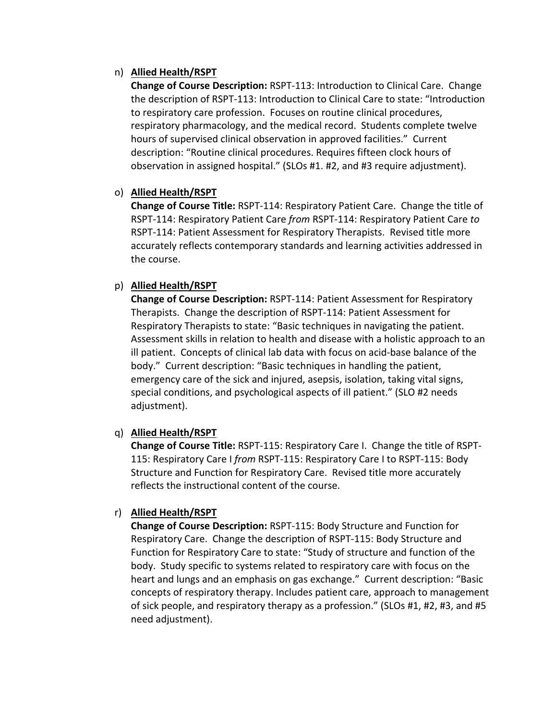## n) **Allied Health/RSPT**

**Change of Course Description:** RSPT‐113: Introduction to Clinical Care. Change the description of RSPT‐113: Introduction to Clinical Care to state: "Introduction to respiratory care profession. Focuses on routine clinical procedures, respiratory pharmacology, and the medical record. Students complete twelve hours of supervised clinical observation in approved facilities." Current description: "Routine clinical procedures. Requires fifteen clock hours of observation in assigned hospital." (SLOs #1. #2, and #3 require adjustment).

#### o) **Allied Health/RSPT**

**Change of Course Title:** RSPT‐114: Respiratory Patient Care. Change the title of RSPT‐114: Respiratory Patient Care *from* RSPT‐114: Respiratory Patient Care *to* RSPT‐114: Patient Assessment for Respiratory Therapists. Revised title more accurately reflects contemporary standards and learning activities addressed in the course.

#### p) **Allied Health/RSPT**

**Change of Course Description:** RSPT‐114: Patient Assessment for Respiratory Therapists. Change the description of RSPT‐114: Patient Assessment for Respiratory Therapists to state: "Basic techniques in navigating the patient. Assessment skills in relation to health and disease with a holistic approach to an ill patient. Concepts of clinical lab data with focus on acid‐base balance of the body." Current description: "Basic techniques in handling the patient, emergency care of the sick and injured, asepsis, isolation, taking vital signs, special conditions, and psychological aspects of ill patient." (SLO #2 needs adjustment).

# q) **Allied Health/RSPT**

**Change of Course Title:** RSPT‐115: Respiratory Care I. Change the title of RSPT‐ 115: Respiratory Care I *from* RSPT‐115: Respiratory Care I to RSPT‐115: Body Structure and Function for Respiratory Care. Revised title more accurately reflects the instructional content of the course.

# r) **Allied Health/RSPT**

**Change of Course Description:** RSPT‐115: Body Structure and Function for Respiratory Care. Change the description of RSPT‐115: Body Structure and Function for Respiratory Care to state: "Study of structure and function of the body. Study specific to systems related to respiratory care with focus on the heart and lungs and an emphasis on gas exchange." Current description: "Basic concepts of respiratory therapy. Includes patient care, approach to management of sick people, and respiratory therapy as a profession." (SLOs #1, #2, #3, and #5 need adjustment).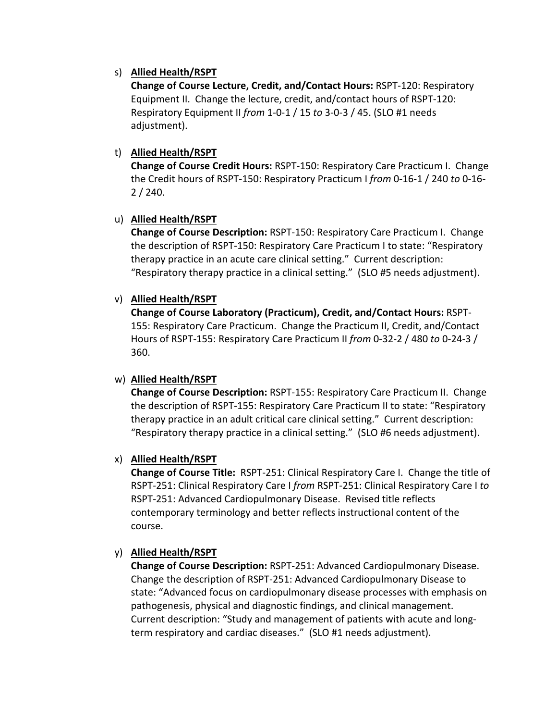# s) **Allied Health/RSPT**

**Change of Course Lecture, Credit, and/Contact Hours:** RSPT‐120: Respiratory Equipment II. Change the lecture, credit, and/contact hours of RSPT‐120: Respiratory Equipment II *from* 1‐0‐1 / 15 *to* 3‐0‐3 / 45. (SLO #1 needs adjustment).

# t) **Allied Health/RSPT**

**Change of Course Credit Hours:** RSPT‐150: Respiratory Care Practicum I. Change the Credit hours of RSPT‐150: Respiratory Practicum I *from* 0‐16‐1 / 240 *to* 0‐16‐ 2 / 240.

# u) **Allied Health/RSPT**

**Change of Course Description:** RSPT‐150: Respiratory Care Practicum I. Change the description of RSPT‐150: Respiratory Care Practicum I to state: "Respiratory therapy practice in an acute care clinical setting." Current description: "Respiratory therapy practice in a clinical setting." (SLO #5 needs adjustment).

# v) **Allied Health/RSPT**

**Change of Course Laboratory (Practicum), Credit, and/Contact Hours:** RSPT‐ 155: Respiratory Care Practicum. Change the Practicum II, Credit, and/Contact Hours of RSPT‐155: Respiratory Care Practicum II *from* 0‐32‐2 / 480 *to* 0‐24‐3 / 360.

# w) **Allied Health/RSPT**

**Change of Course Description:** RSPT‐155: Respiratory Care Practicum II. Change the description of RSPT‐155: Respiratory Care Practicum II to state: "Respiratory therapy practice in an adult critical care clinical setting." Current description: "Respiratory therapy practice in a clinical setting." (SLO #6 needs adjustment).

# x) **Allied Health/RSPT**

**Change of Course Title:** RSPT‐251: Clinical Respiratory Care I. Change the title of RSPT‐251: Clinical Respiratory Care I *from* RSPT‐251: Clinical Respiratory Care I *to* RSPT‐251: Advanced Cardiopulmonary Disease. Revised title reflects contemporary terminology and better reflects instructional content of the course.

# y) **Allied Health/RSPT**

**Change of Course Description:** RSPT‐251: Advanced Cardiopulmonary Disease. Change the description of RSPT‐251: Advanced Cardiopulmonary Disease to state: "Advanced focus on cardiopulmonary disease processes with emphasis on pathogenesis, physical and diagnostic findings, and clinical management. Current description: "Study and management of patients with acute and long‐ term respiratory and cardiac diseases." (SLO #1 needs adjustment).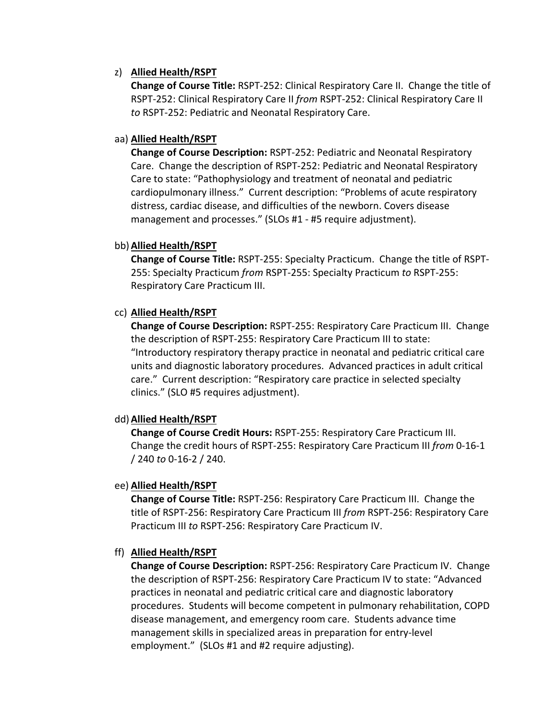#### z) **Allied Health/RSPT**

**Change of Course Title:** RSPT‐252: Clinical Respiratory Care II. Change the title of RSPT‐252: Clinical Respiratory Care II *from* RSPT‐252: Clinical Respiratory Care II *to* RSPT‐252: Pediatric and Neonatal Respiratory Care.

#### aa) **Allied Health/RSPT**

**Change of Course Description:** RSPT‐252: Pediatric and Neonatal Respiratory Care. Change the description of RSPT‐252: Pediatric and Neonatal Respiratory Care to state: "Pathophysiology and treatment of neonatal and pediatric cardiopulmonary illness." Current description: "Problems of acute respiratory distress, cardiac disease, and difficulties of the newborn. Covers disease management and processes." (SLOs #1 ‐ #5 require adjustment).

#### bb)**Allied Health/RSPT**

**Change of Course Title:** RSPT‐255: Specialty Practicum. Change the title of RSPT‐ 255: Specialty Practicum *from* RSPT‐255: Specialty Practicum *to* RSPT‐255: Respiratory Care Practicum III.

# cc) **Allied Health/RSPT**

**Change of Course Description:** RSPT‐255: Respiratory Care Practicum III. Change the description of RSPT‐255: Respiratory Care Practicum III to state: "Introductory respiratory therapy practice in neonatal and pediatric critical care units and diagnostic laboratory procedures. Advanced practices in adult critical care." Current description: "Respiratory care practice in selected specialty clinics." (SLO #5 requires adjustment).

# dd)**Allied Health/RSPT**

**Change of Course Credit Hours:** RSPT‐255: Respiratory Care Practicum III. Change the credit hours of RSPT‐255: Respiratory Care Practicum III *from* 0‐16‐1 / 240 *to* 0‐16‐2 / 240.

#### ee) **Allied Health/RSPT**

**Change of Course Title:** RSPT‐256: Respiratory Care Practicum III. Change the title of RSPT‐256: Respiratory Care Practicum III *from* RSPT‐256: Respiratory Care Practicum III *to* RSPT‐256: Respiratory Care Practicum IV.

# ff) **Allied Health/RSPT**

**Change of Course Description:** RSPT‐256: Respiratory Care Practicum IV. Change the description of RSPT‐256: Respiratory Care Practicum IV to state: "Advanced practices in neonatal and pediatric critical care and diagnostic laboratory procedures. Students will become competent in pulmonary rehabilitation, COPD disease management, and emergency room care. Students advance time management skills in specialized areas in preparation for entry‐level employment." (SLOs #1 and #2 require adjusting).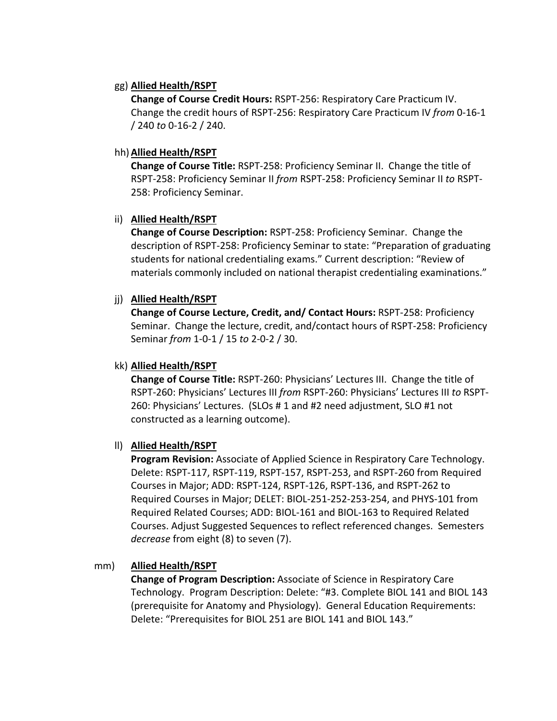#### gg) **Allied Health/RSPT**

**Change of Course Credit Hours:** RSPT‐256: Respiratory Care Practicum IV. Change the credit hours of RSPT‐256: Respiratory Care Practicum IV *from* 0‐16‐1 / 240 *to* 0‐16‐2 / 240.

#### hh)**Allied Health/RSPT**

**Change of Course Title:** RSPT‐258: Proficiency Seminar II. Change the title of RSPT‐258: Proficiency Seminar II *from* RSPT‐258: Proficiency Seminar II *to* RSPT‐ 258: Proficiency Seminar.

#### ii) **Allied Health/RSPT**

**Change of Course Description:** RSPT‐258: Proficiency Seminar. Change the description of RSPT‐258: Proficiency Seminar to state: "Preparation of graduating students for national credentialing exams." Current description: "Review of materials commonly included on national therapist credentialing examinations."

#### jj) **Allied Health/RSPT**

**Change of Course Lecture, Credit, and/ Contact Hours:** RSPT‐258: Proficiency Seminar. Change the lecture, credit, and/contact hours of RSPT‐258: Proficiency Seminar *from* 1‐0‐1 / 15 *to* 2‐0‐2 / 30.

#### kk) **Allied Health/RSPT**

**Change of Course Title:** RSPT‐260: Physicians' Lectures III. Change the title of RSPT‐260: Physicians' Lectures III *from* RSPT‐260: Physicians' Lectures III *to* RSPT‐ 260: Physicians' Lectures. (SLOs # 1 and #2 need adjustment, SLO #1 not constructed as a learning outcome).

# ll) **Allied Health/RSPT**

**Program Revision:** Associate of Applied Science in Respiratory Care Technology. Delete: RSPT‐117, RSPT‐119, RSPT‐157, RSPT‐253, and RSPT‐260 from Required Courses in Major; ADD: RSPT‐124, RSPT‐126, RSPT‐136, and RSPT‐262 to Required Courses in Major; DELET: BIOL‐251‐252‐253‐254, and PHYS‐101 from Required Related Courses; ADD: BIOL‐161 and BIOL‐163 to Required Related Courses. Adjust Suggested Sequences to reflect referenced changes. Semesters *decrease* from eight (8) to seven (7).

# mm) **Allied Health/RSPT**

**Change of Program Description:** Associate of Science in Respiratory Care Technology. Program Description: Delete: "#3. Complete BIOL 141 and BIOL 143 (prerequisite for Anatomy and Physiology). General Education Requirements: Delete: "Prerequisites for BIOL 251 are BIOL 141 and BIOL 143."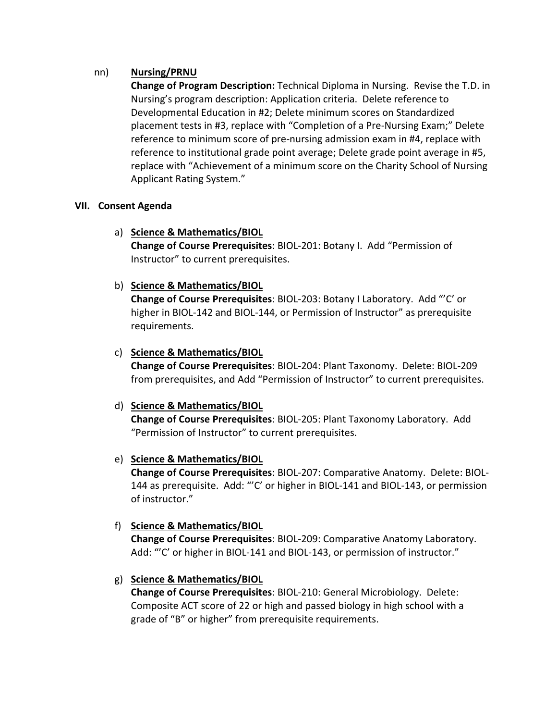#### nn) **Nursing/PRNU**

**Change of Program Description:** Technical Diploma in Nursing. Revise the T.D. in Nursing's program description: Application criteria. Delete reference to Developmental Education in #2; Delete minimum scores on Standardized placement tests in #3, replace with "Completion of a Pre‐Nursing Exam;" Delete reference to minimum score of pre‐nursing admission exam in #4, replace with reference to institutional grade point average; Delete grade point average in #5, replace with "Achievement of a minimum score on the Charity School of Nursing Applicant Rating System."

#### **VII. Consent Agenda**

# a) **Science & Mathematics/BIOL**

**Change of Course Prerequisites**: BIOL‐201: Botany I. Add "Permission of Instructor" to current prerequisites.

#### b) **Science & Mathematics/BIOL**

**Change of Course Prerequisites**: BIOL‐203: Botany I Laboratory. Add "'C' or higher in BIOL‐142 and BIOL‐144, or Permission of Instructor" as prerequisite requirements.

# c) **Science & Mathematics/BIOL**

**Change of Course Prerequisites**: BIOL‐204: Plant Taxonomy. Delete: BIOL‐209 from prerequisites, and Add "Permission of Instructor" to current prerequisites.

#### d) **Science & Mathematics/BIOL**

**Change of Course Prerequisites**: BIOL‐205: Plant Taxonomy Laboratory. Add "Permission of Instructor" to current prerequisites.

# e) **Science & Mathematics/BIOL**

**Change of Course Prerequisites**: BIOL‐207: Comparative Anatomy. Delete: BIOL‐ 144 as prerequisite. Add: "'C' or higher in BIOL‐141 and BIOL‐143, or permission of instructor."

# f) **Science & Mathematics/BIOL**

**Change of Course Prerequisites**: BIOL‐209: Comparative Anatomy Laboratory. Add: "'C' or higher in BIOL-141 and BIOL-143, or permission of instructor."

# g) **Science & Mathematics/BIOL**

**Change of Course Prerequisites**: BIOL‐210: General Microbiology. Delete: Composite ACT score of 22 or high and passed biology in high school with a grade of "B" or higher" from prerequisite requirements.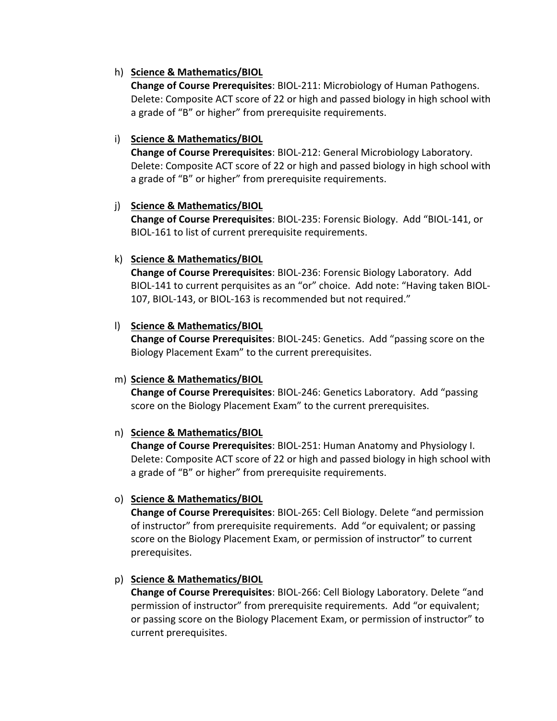## h) **Science & Mathematics/BIOL**

**Change of Course Prerequisites**: BIOL‐211: Microbiology of Human Pathogens. Delete: Composite ACT score of 22 or high and passed biology in high school with a grade of "B" or higher" from prerequisite requirements.

#### i) **Science & Mathematics/BIOL**

**Change of Course Prerequisites**: BIOL‐212: General Microbiology Laboratory. Delete: Composite ACT score of 22 or high and passed biology in high school with a grade of "B" or higher" from prerequisite requirements.

#### j) **Science & Mathematics/BIOL**

**Change of Course Prerequisites**: BIOL‐235: Forensic Biology. Add "BIOL‐141, or BIOL‐161 to list of current prerequisite requirements.

#### k) **Science & Mathematics/BIOL**

**Change of Course Prerequisites**: BIOL‐236: Forensic Biology Laboratory. Add BIOL‐141 to current perquisites as an "or" choice. Add note: "Having taken BIOL‐ 107, BIOL‐143, or BIOL‐163 is recommended but not required."

#### l) **Science & Mathematics/BIOL**

**Change of Course Prerequisites**: BIOL‐245: Genetics. Add "passing score on the Biology Placement Exam" to the current prerequisites.

#### m) **Science & Mathematics/BIOL**

**Change of Course Prerequisites**: BIOL‐246: Genetics Laboratory. Add "passing score on the Biology Placement Exam" to the current prerequisites.

# n) **Science & Mathematics/BIOL**

**Change of Course Prerequisites**: BIOL‐251: Human Anatomy and Physiology I. Delete: Composite ACT score of 22 or high and passed biology in high school with a grade of "B" or higher" from prerequisite requirements.

# o) **Science & Mathematics/BIOL**

**Change of Course Prerequisites**: BIOL‐265: Cell Biology. Delete "and permission of instructor" from prerequisite requirements. Add "or equivalent; or passing score on the Biology Placement Exam, or permission of instructor" to current prerequisites.

# p) **Science & Mathematics/BIOL**

**Change of Course Prerequisites**: BIOL‐266: Cell Biology Laboratory. Delete "and permission of instructor" from prerequisite requirements. Add "or equivalent; or passing score on the Biology Placement Exam, or permission of instructor" to current prerequisites.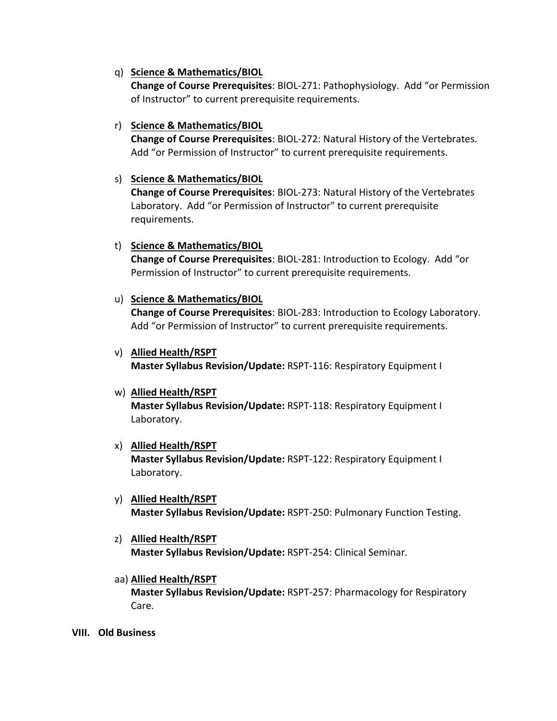#### q) **Science & Mathematics/BIOL**

**Change of Course Prerequisites**: BIOL‐271: Pathophysiology. Add "or Permission of Instructor" to current prerequisite requirements.

#### r) **Science & Mathematics/BIOL**

**Change of Course Prerequisites**: BIOL‐272: Natural History of the Vertebrates. Add "or Permission of Instructor" to current prerequisite requirements.

#### s) **Science & Mathematics/BIOL**

**Change of Course Prerequisites**: BIOL‐273: Natural History of the Vertebrates Laboratory. Add "or Permission of Instructor" to current prerequisite requirements.

#### t) **Science & Mathematics/BIOL**

**Change of Course Prerequisites**: BIOL‐281: Introduction to Ecology. Add "or Permission of Instructor" to current prerequisite requirements.

#### u) **Science & Mathematics/BIOL**

**Change of Course Prerequisites**: BIOL‐283: Introduction to Ecology Laboratory. Add "or Permission of Instructor" to current prerequisite requirements.

# v) **Allied Health/RSPT**

**Master Syllabus Revision/Update:** RSPT‐116: Respiratory Equipment I

# w) **Allied Health/RSPT**

**Master Syllabus Revision/Update:** RSPT‐118: Respiratory Equipment I Laboratory.

# x) **Allied Health/RSPT Master Syllabus Revision/Update:** RSPT‐122: Respiratory Equipment I Laboratory.

- y) **Allied Health/RSPT Master Syllabus Revision/Update:** RSPT‐250: Pulmonary Function Testing.
- z) **Allied Health/RSPT Master Syllabus Revision/Update:** RSPT‐254: Clinical Seminar.
- aa) **Allied Health/RSPT Master Syllabus Revision/Update:** RSPT‐257: Pharmacology for Respiratory Care.

**VIII. Old Business**